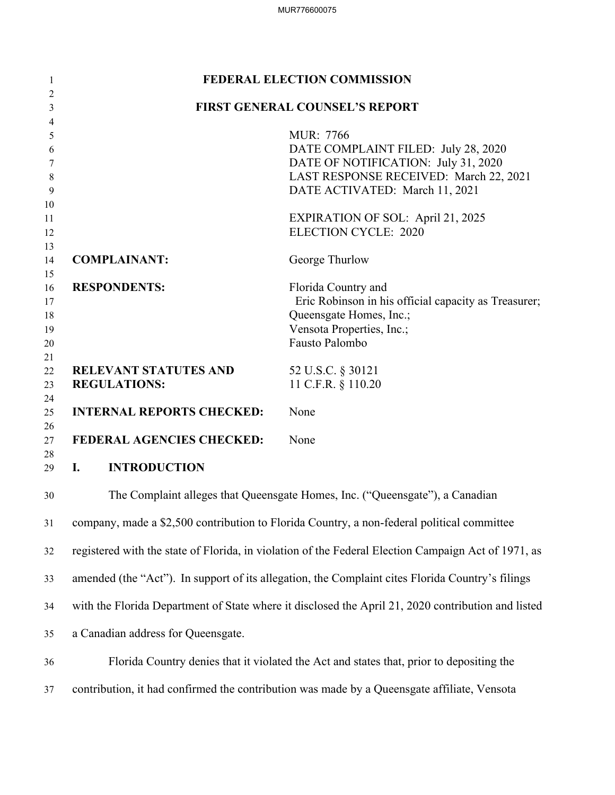| $\mathbf{1}$        |                                                     | <b>FEDERAL ELECTION COMMISSION</b>                                                                  |
|---------------------|-----------------------------------------------------|-----------------------------------------------------------------------------------------------------|
| $\overline{2}$<br>3 |                                                     | <b>FIRST GENERAL COUNSEL'S REPORT</b>                                                               |
| $\overline{4}$      |                                                     |                                                                                                     |
| 5                   |                                                     | MUR: 7766                                                                                           |
| 6<br>7              |                                                     | DATE COMPLAINT FILED: July 28, 2020<br>DATE OF NOTIFICATION: July 31, 2020                          |
| 8                   |                                                     | LAST RESPONSE RECEIVED: March 22, 2021                                                              |
| 9                   |                                                     | DATE ACTIVATED: March 11, 2021                                                                      |
| 10                  |                                                     |                                                                                                     |
| 11<br>12            |                                                     | <b>EXPIRATION OF SOL: April 21, 2025</b><br><b>ELECTION CYCLE: 2020</b>                             |
| 13                  |                                                     |                                                                                                     |
| 14<br>15            | <b>COMPLAINANT:</b>                                 | George Thurlow                                                                                      |
| 16                  | <b>RESPONDENTS:</b>                                 | Florida Country and                                                                                 |
| 17                  |                                                     | Eric Robinson in his official capacity as Treasurer;                                                |
| 18                  |                                                     | Queensgate Homes, Inc.;                                                                             |
| 19                  |                                                     | Vensota Properties, Inc.;                                                                           |
| 20                  |                                                     | Fausto Palombo                                                                                      |
| 21                  |                                                     |                                                                                                     |
| 22<br>23            | <b>RELEVANT STATUTES AND</b><br><b>REGULATIONS:</b> | 52 U.S.C. § 30121<br>11 C.F.R. § 110.20                                                             |
| 24                  |                                                     |                                                                                                     |
| 25                  | <b>INTERNAL REPORTS CHECKED:</b>                    | None                                                                                                |
| 26                  |                                                     |                                                                                                     |
| 27<br>28            | FEDERAL AGENCIES CHECKED:                           | None                                                                                                |
| 29                  | <b>INTRODUCTION</b><br>I.                           |                                                                                                     |
| 30                  |                                                     | The Complaint alleges that Queensgate Homes, Inc. ("Queensgate"), a Canadian                        |
| 31                  |                                                     | company, made a \$2,500 contribution to Florida Country, a non-federal political committee          |
| 32                  |                                                     | registered with the state of Florida, in violation of the Federal Election Campaign Act of 1971, as |
| 33                  |                                                     | amended (the "Act"). In support of its allegation, the Complaint cites Florida Country's filings    |
| 34                  |                                                     | with the Florida Department of State where it disclosed the April 21, 2020 contribution and listed  |
| 35                  | a Canadian address for Queensgate.                  |                                                                                                     |
| 36                  |                                                     | Florida Country denies that it violated the Act and states that, prior to depositing the            |
| 37                  |                                                     | contribution, it had confirmed the contribution was made by a Queensgate affiliate, Vensota         |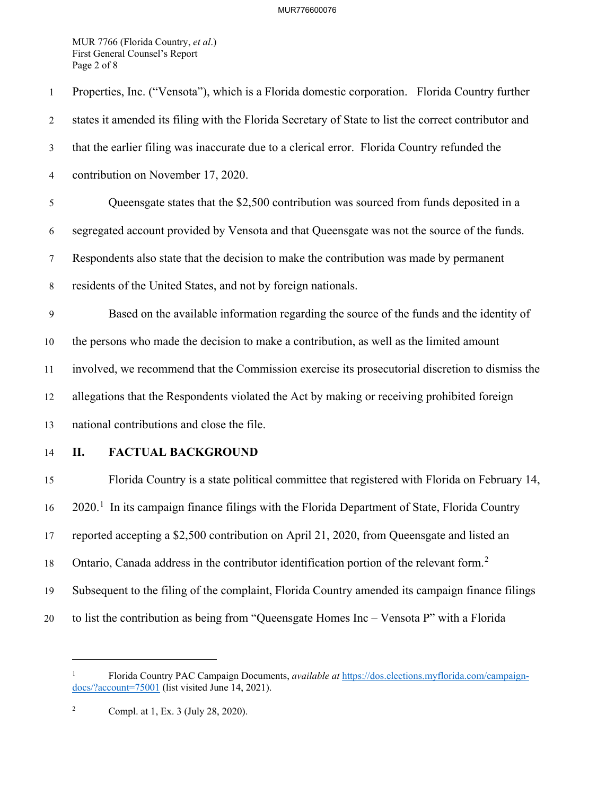#### MUR776600076

 First General Counsel's Report MUR 7766 (Florida Country, *et al*.) Page 2 of 8

| $\mathbf{1}$     | Properties, Inc. ("Vensota"), which is a Florida domestic corporation. Florida Country further           |
|------------------|----------------------------------------------------------------------------------------------------------|
| $\overline{2}$   | states it amended its filing with the Florida Secretary of State to list the correct contributor and     |
| $\mathfrak{Z}$   | that the earlier filing was inaccurate due to a clerical error. Florida Country refunded the             |
| $\overline{4}$   | contribution on November 17, 2020.                                                                       |
| 5                | Queensgate states that the \$2,500 contribution was sourced from funds deposited in a                    |
| 6                | segregated account provided by Vensota and that Queensgate was not the source of the funds.              |
| $\tau$           | Respondents also state that the decision to make the contribution was made by permanent                  |
| $8\,$            | residents of the United States, and not by foreign nationals.                                            |
| $\boldsymbol{9}$ | Based on the available information regarding the source of the funds and the identity of                 |
| 10               | the persons who made the decision to make a contribution, as well as the limited amount                  |
| 11               | involved, we recommend that the Commission exercise its prosecutorial discretion to dismiss the          |
| 12               | allegations that the Respondents violated the Act by making or receiving prohibited foreign              |
| 13               | national contributions and close the file.                                                               |
| 14               | <b>FACTUAL BACKGROUND</b><br>П.                                                                          |
| 15               | Florida Country is a state political committee that registered with Florida on February 14,              |
| 16               | 2020. <sup>1</sup> In its campaign finance filings with the Florida Department of State, Florida Country |
| 17               | reported accepting a \$2,500 contribution on April 21, 2020, from Queensgate and listed an               |
| 18               | Ontario, Canada address in the contributor identification portion of the relevant form. <sup>2</sup>     |
| 19               | Subsequent to the filing of the complaint, Florida Country amended its campaign finance filings          |
| 20               | to list the contribution as being from "Queensgate Homes Inc - Vensota P" with a Florida                 |

<sup>1</sup> Florida Country PAC Campaign Documents, *available at* <https://dos.elections.myflorida.com/campaign>docs/?account=75001 (list visited June 14, 2021).

 $\sqrt{2}$ 2 Compl. at 1, Ex. 3 (July 28, 2020).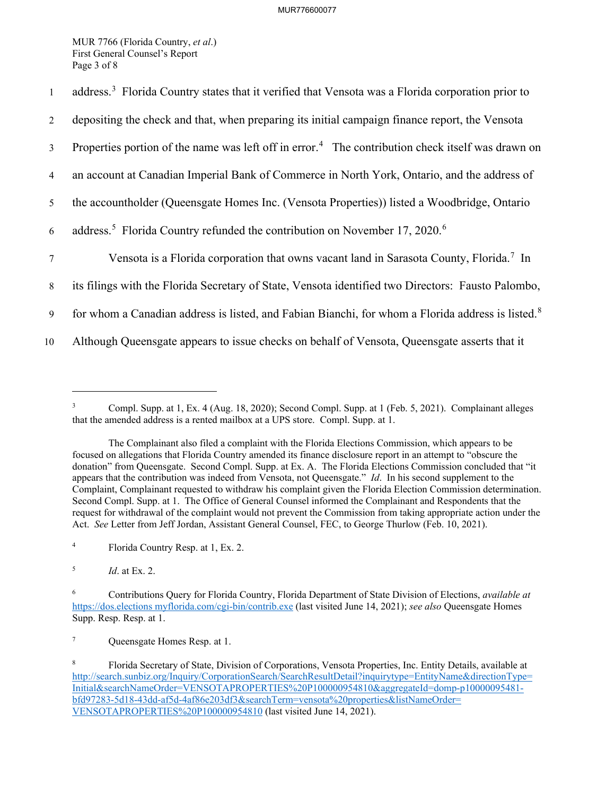First General Counsel's Report MUR 7766 (Florida Country, *et al*.) Page 3 of 8

| $\mathbf{1}$    | address. <sup>3</sup> Florida Country states that it verified that Vensota was a Florida corporation prior to |
|-----------------|---------------------------------------------------------------------------------------------------------------|
| 2               | depositing the check and that, when preparing its initial campaign finance report, the Vensota                |
| $\mathfrak{Z}$  | Properties portion of the name was left off in error. <sup>4</sup> The contribution check itself was drawn on |
| $\overline{4}$  | an account at Canadian Imperial Bank of Commerce in North York, Ontario, and the address of                   |
| 5               | the accountholder (Queensgate Homes Inc. (Vensota Properties)) listed a Woodbridge, Ontario                   |
| 6               | address. <sup>5</sup> Florida Country refunded the contribution on November 17, 2020. <sup>6</sup>            |
| $7\phantom{.0}$ | Vensota is a Florida corporation that owns vacant land in Sarasota County, Florida. <sup>7</sup> In           |
| 8               | its filings with the Florida Secretary of State, Vensota identified two Directors: Fausto Palombo,            |
| 9               | for whom a Canadian address is listed, and Fabian Bianchi, for whom a Florida address is listed. <sup>8</sup> |
| 10              | Although Queensgate appears to issue checks on behalf of Vensota, Queensgate asserts that it                  |
|                 |                                                                                                               |

 $\overline{3}$  that the amended address is a rented mailbox at a UPS store. Compl. Supp. at 1. 3 Compl. Supp. at 1, Ex. 4 (Aug. 18, 2020); Second Compl. Supp. at 1 (Feb. 5, 2021). Complainant alleges

 The Complainant also filed a complaint with the Florida Elections Commission, which appears to be focused on allegations that Florida Country amended its finance disclosure report in an attempt to "obscure the donation" from Queensgate. Second Compl. Supp. at Ex. A. The Florida Elections Commission concluded that "it appears that the contribution was indeed from Vensota, not Queensgate." *Id*. In his second supplement to the Complaint, Complainant requested to withdraw his complaint given the Florida Election Commission determination. Second Compl. Supp. at 1. The Office of General Counsel informed the Complainant and Respondents that the request for withdrawal of the complaint would not prevent the Commission from taking appropriate action under the Act. *See* Letter from Jeff Jordan, Assistant General Counsel, FEC, to George Thurlow (Feb. 10, 2021).

 $\overline{4}$ 4 Florida Country Resp. at 1, Ex. 2.

<sup>5</sup>*Id*. at Ex. 2.

 6 Contributions Query for Florida Country, Florida Department of State Division of Elections, *available at*  <https://dos.elections>[myflorida.com/cgi-bin/contrib.exe](https://myflorida.com/cgi-bin/contrib.exe) (last visited June 14, 2021); *see also* Queensgate Homes Supp. Resp. Resp. at 1.

 $\overline{\tau}$ Queensgate Homes Resp. at 1.

<sup>8</sup>  VENSOTAPROPERTIES%20P100000954810 (last visited June 14, 2021). 8 Florida Secretary of State, Division of Corporations, Vensota Properties, Inc. Entity Details, available at [http://search.sunbiz.org/Inquiry/CorporationSearch/SearchResultDetail?inquirytype=EntityName&directionType=](http://search.sunbiz.org/Inquiry/CorporationSearch/SearchResultDetail?inquirytype=EntityName&directionType) Initial&searchNameOrder=VENSOTAPROPERTIES%20P100000954810&aggregateId=domp-p10000095481 bfd97283-5d18-43dd-af5d-4af86e203df3&searchTerm=vensota%20properties&listNameOrder=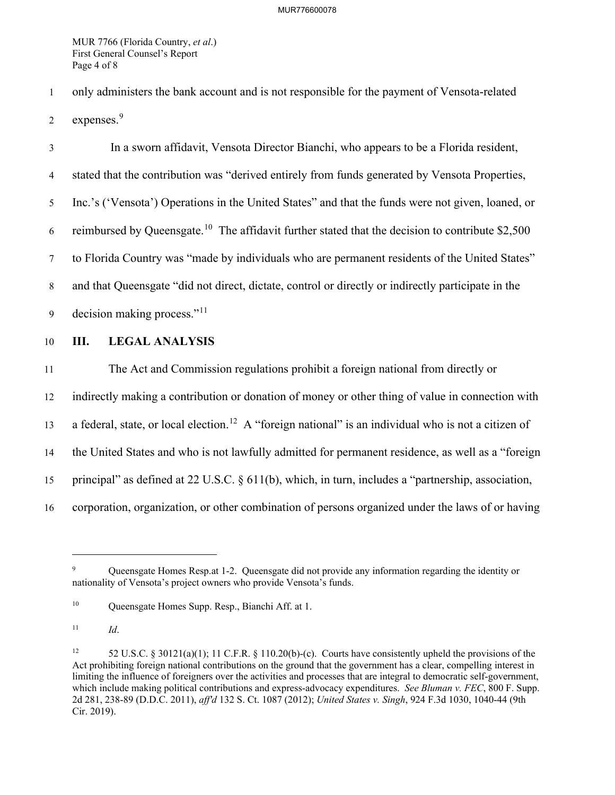First General Counsel's Report MUR 7766 (Florida Country, *et al*.) Page 4 of 8

1 only administers the bank account and is not responsible for the payment of Vensota-related

2 expenses.<sup>9</sup>

6 reimbursed by [Queensgate.](https://Queensgate.10)<sup>10</sup> The affidavit further stated that the decision to contribute \$2,500 9 decision making process."<sup>11</sup> 3 In a sworn affidavit, Vensota Director Bianchi, who appears to be a Florida resident, 4 stated that the contribution was "derived entirely from funds generated by Vensota Properties, 5 Inc.'s ('Vensota') Operations in the United States" and that the funds were not given, loaned, or 7 to Florida Country was "made by individuals who are permanent residents of the United States" 8 and that Queensgate "did not direct, dictate, control or directly or indirectly participate in the

10 **III. LEGAL ANALYSIS** 

13 a federal, state, or local [election.](https://election.12)<sup>12</sup> A "foreign national" is an individual who is not a citizen of 11 The Act and Commission regulations prohibit a foreign national from directly or 12 indirectly making a contribution or donation of money or other thing of value in connection with 14 the United States and who is not lawfully admitted for permanent residence, as well as a "foreign 15 principal" as defined at 22 U.S.C. § 611(b), which, in turn, includes a "partnership, association, 16 corporation, organization, or other combination of persons organized under the laws of or having

 $\overline{9}$  nationality of Vensota's project owners who provide Vensota's funds. 9 Queensgate Homes Resp.at 1-2. Queensgate did not provide any information regarding the identity or

 $10\,$ Queensgate Homes Supp. Resp., Bianchi Aff. at 1.

 $11$ <sup>11</sup>*Id*.

 $12$  Act prohibiting foreign national contributions on the ground that the government has a clear, compelling interest in limiting the influence of foreigners over the activities and processes that are integral to democratic self-government,  which include making political contributions and express-advocacy expenditures. *See Bluman v. FEC*, 800 F. Supp. 2d 281, 238-89 (D.D.C. 2011), *aff'd* 132 S. Ct. 1087 (2012); *United States v. Singh*, 924 F.3d 1030, 1040-44 (9th 52 U.S.C. § 30121(a)(1); 11 C.F.R. § 110.20(b)-(c). Courts have consistently upheld the provisions of the Cir. 2019).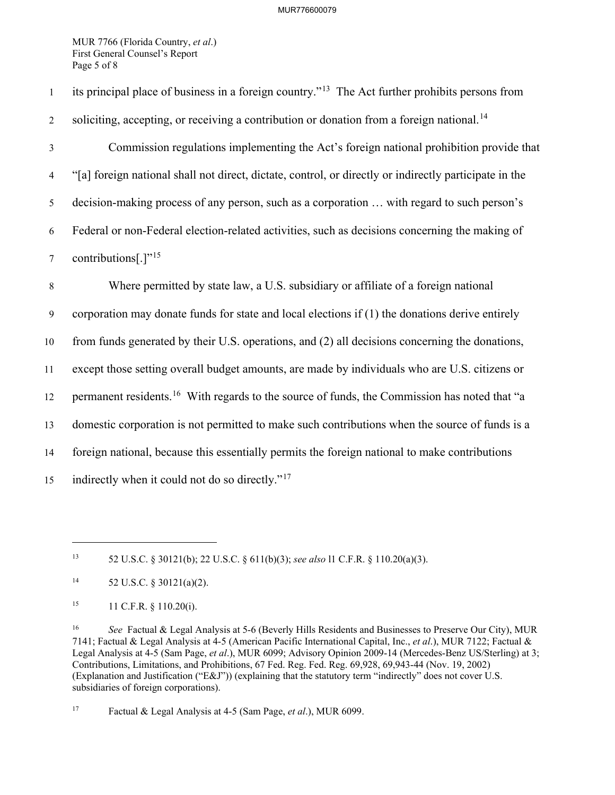First General Counsel's Report MUR 7766 (Florida Country, *et al*.) Page 5 of 8

1 its principal place of business in a foreign country."<sup>13</sup> The Act further prohibits persons from 2 soliciting, accepting, or receiving a contribution or donation from a foreign [national.](https://national.14)<sup>14</sup> 6 Federal or non-Federal election-related activities, such as decisions concerning the making of 7 contributions[.] $"15$  9 corporation may donate funds for state and local elections if (1) the donations derive entirely 10 from funds generated by their U.S. operations, and (2) all decisions concerning the donations, 15 indirectly when it could not do so directly."<sup>17</sup> 3 Commission regulations implementing the Act's foreign national prohibition provide that 4 "[a] foreign national shall not direct, dictate, control, or directly or indirectly participate in the 5 decision-making process of any person, such as a corporation … with regard to such person's 8 Where permitted by state law, a U.S. subsidiary or affiliate of a foreign national 11 except those setting overall budget amounts, are made by individuals who are U.S. citizens or 12 permanent [residents.](https://residents.16)<sup>16</sup> With regards to the source of funds, the Commission has noted that "a 13 domestic corporation is not permitted to make such contributions when the source of funds is a 14 foreign national, because this essentially permits the foreign national to make contributions

 $17\,$ 17 Factual & Legal Analysis at 4-5 (Sam Page, *et al*.), MUR 6099.

 $13$ 13 52 U.S.C. § 30121(b); 22 U.S.C. § 611(b)(3); *see also* l1 C.F.R. § 110.20(a)(3).

 $14$ 52 U.S.C.  $\frac{$20121(a)(2)}{a}$ .

<sup>15</sup> 11 C.F.R. § 110.20(i).

 $16\,$  7141; Factual & Legal Analysis at 4-5 (American Pacific International Capital, Inc., *et al*.), MUR 7122; Factual & Legal Analysis at 4-5 (Sam Page, *et al*.), MUR 6099; Advisory Opinion 2009-14 (Mercedes-Benz US/Sterling) at 3; Contributions, Limitations, and Prohibitions, 67 Fed. Reg. Fed. Reg. 69,928, 69,943-44 (Nov. 19, 2002) (Explanation and Justification ("E&J")) (explaining that the statutory term "indirectly" does not cover U.S. subsidiaries of foreign corporations). <sup>16</sup>*See* Factual & Legal Analysis at 5-6 (Beverly Hills Residents and Businesses to Preserve Our City), MUR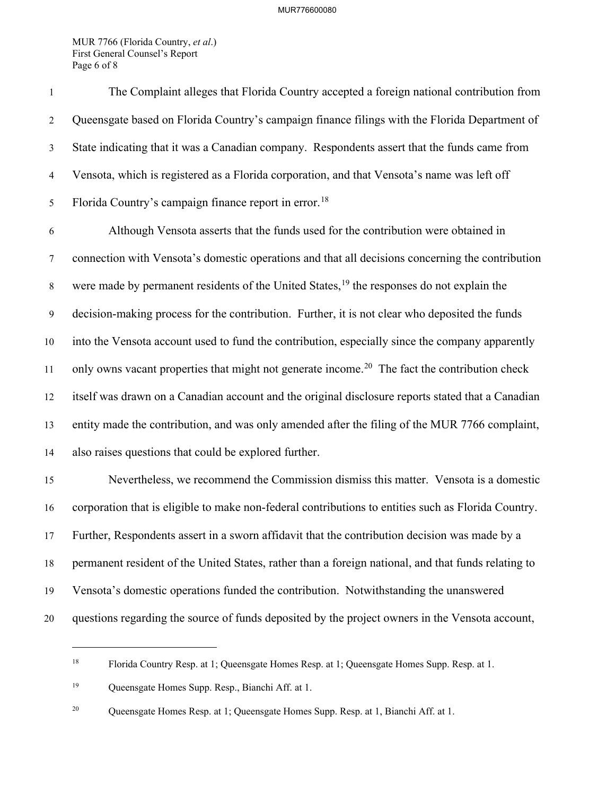First General Counsel's Report MUR 7766 (Florida Country, *et al*.) Page 6 of 8

 4 Vensota, which is registered as a Florida corporation, and that Vensota's name was left off 5 Florida Country's campaign finance report in [error.](https://error.18)<sup>18</sup> 7 connection with Vensota's domestic operations and that all decisions concerning the contribution 1 The Complaint alleges that Florida Country accepted a foreign national contribution from 2 Queensgate based on Florida Country's campaign finance filings with the Florida Department of 3 State indicating that it was a Canadian company. Respondents assert that the funds came from 6 Although Vensota asserts that the funds used for the contribution were obtained in 8 were made by permanent residents of the United States,  $19$  the responses do not explain the

11 only owns vacant properties that might not generate [income.](https://income.20)<sup>20</sup> The fact the contribution check 9 decision-making process for the contribution. Further, it is not clear who deposited the funds 10 into the Vensota account used to fund the contribution, especially since the company apparently 12 itself was drawn on a Canadian account and the original disclosure reports stated that a Canadian 13 entity made the contribution, and was only amended after the filing of the MUR 7766 complaint, 14 also raises questions that could be explored further.

 15 Nevertheless, we recommend the Commission dismiss this matter. Vensota is a domestic 16 corporation that is eligible to make non-federal contributions to entities such as Florida Country. 20 questions regarding the source of funds deposited by the project owners in the Vensota account, 17 Further, Respondents assert in a sworn affidavit that the contribution decision was made by a 18 permanent resident of the United States, rather than a foreign national, and that funds relating to 19 Vensota's domestic operations funded the contribution. Notwithstanding the unanswered

 $18\,$ 18 Florida Country Resp. at 1; Queensgate Homes Resp. at 1; Queensgate Homes Supp. Resp. at 1.

 $19\,$ Queensgate Homes Supp. Resp., Bianchi Aff. at 1.

 $20\,$ Queensgate Homes Resp. at 1; Queensgate Homes Supp. Resp. at 1, Bianchi Aff. at 1.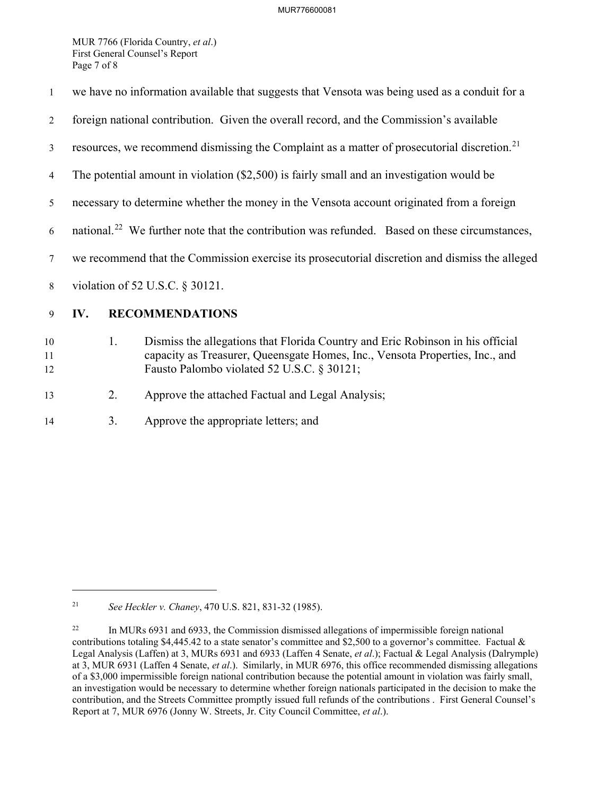First General Counsel's Report MUR 7766 (Florida Country, *et al*.) Page 7 of 8

| $\mathbf{1}$   | we have no information available that suggests that Vensota was being used as a conduit for a                                                                                                                      |
|----------------|--------------------------------------------------------------------------------------------------------------------------------------------------------------------------------------------------------------------|
| 2              | foreign national contribution. Given the overall record, and the Commission's available                                                                                                                            |
| 3              | resources, we recommend dismissing the Complaint as a matter of prosecutorial discretion. <sup>21</sup>                                                                                                            |
| 4              | The potential amount in violation $(\$2,500)$ is fairly small and an investigation would be                                                                                                                        |
| 5              | necessary to determine whether the money in the Vensota account originated from a foreign                                                                                                                          |
| 6              | national. <sup>22</sup> We further note that the contribution was refunded. Based on these circumstances,                                                                                                          |
| 7              | we recommend that the Commission exercise its prosecutorial discretion and dismiss the alleged                                                                                                                     |
| 8              | violation of 52 U.S.C. § 30121.                                                                                                                                                                                    |
| 9              | <b>RECOMMENDATIONS</b><br>IV.                                                                                                                                                                                      |
| 10<br>11<br>12 | Dismiss the allegations that Florida Country and Eric Robinson in his official<br>1.<br>capacity as Treasurer, Queensgate Homes, Inc., Vensota Properties, Inc., and<br>Fausto Palombo violated 52 U.S.C. § 30121; |

13 2. Approve the attached Factual and Legal Analysis;<br>14 3. Approve the appropriate letters; and

Approve the appropriate letters; and

21 <sup>21</sup>*See Heckler v. Chaney*, 470 U.S. 821, 831-32 (1985).

<sup>22</sup> contributions totaling [\\$4,445.42](https://4,445.42) to a state senator's committee and \$2,500 to a governor's committee. Factual  $\&$  Legal Analysis (Laffen) at 3, MURs 6931 and 6933 (Laffen 4 Senate, *et al*.); Factual & Legal Analysis (Dalrymple) at 3, MUR 6931 (Laffen 4 Senate, *et al*.). Similarly, in MUR 6976, this office recommended dismissing allegations of a \$3,000 impermissible foreign national contribution because the potential amount in violation was fairly small, an investigation would be necessary to determine whether foreign nationals participated in the decision to make the contribution, and the Streets Committee promptly issued full refunds of the contributions . First General Counsel's Report at 7, MUR 6976 (Jonny W. Streets, Jr. City Council Committee, *et al*.). In MURs 6931 and 6933, the Commission dismissed allegations of impermissible foreign national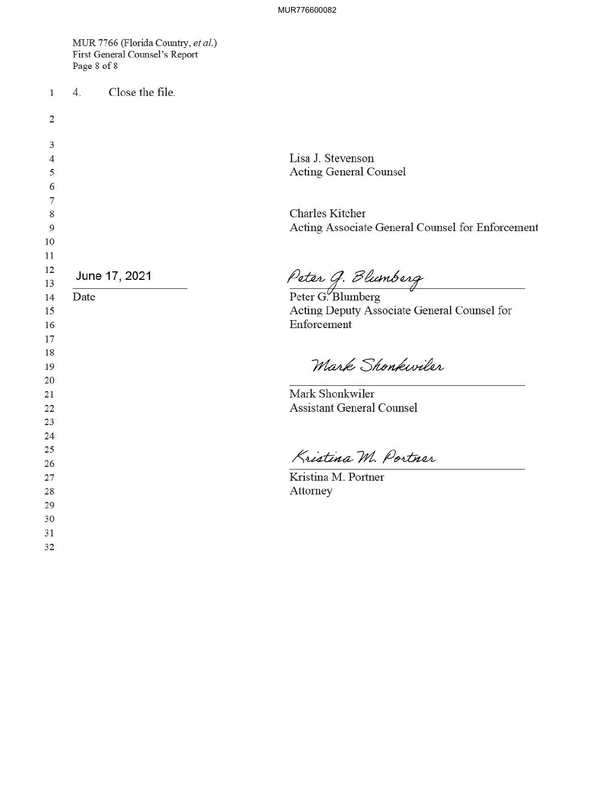MUR 7766 (Florida Country, *et al.)*  First General Counsel's Report Page 8 of 8

1 4. Close the file.

| $\overline{2}$ |               |                                                            |
|----------------|---------------|------------------------------------------------------------|
| 3              |               |                                                            |
| $\overline{4}$ |               | Lisa J. Stevenson                                          |
| 5              |               | <b>Acting General Counsel</b>                              |
| 6              |               |                                                            |
| 7              |               |                                                            |
| 8              |               | <b>Charles Kitcher</b>                                     |
| 9              |               | Acting Associate General Counsel for Enforcement           |
| 10             |               |                                                            |
| 11             |               |                                                            |
| 12             | June 17, 2021 |                                                            |
| 13             |               | Peter G. Blumberg<br>Peter G. Blumberg                     |
| 14             | Date          |                                                            |
| 15             |               | Acting Deputy Associate General Counsel for<br>Enforcement |
| 16<br>17       |               |                                                            |
| 18             |               |                                                            |
| 19             |               | Mark Shonkwiler                                            |
| 20             |               |                                                            |
| 21             |               | Mark Shonkwiler                                            |
| 22             |               | <b>Assistant General Counsel</b>                           |
| 23             |               |                                                            |
| 24             |               |                                                            |
| 25             |               |                                                            |
| 26             |               | Kristina M. Portner                                        |
| 27             |               | Kristina M. Portner                                        |
| 28             |               | Attorney                                                   |
| 29             |               |                                                            |
| 30             |               |                                                            |
| 31             |               |                                                            |
| 32             |               |                                                            |
|                |               |                                                            |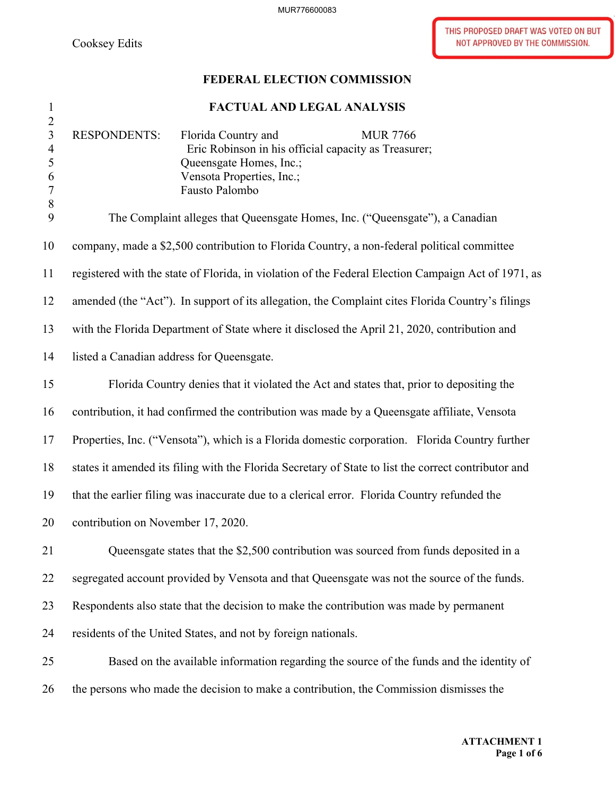MUR776600083

THIS PROPOSED DRAFT WAS VOTED ON BUT Cooksey Edits Not approved by The COMMISSION.

# **FEDERAL ELECTION COMMISSION**

# 1 **FACTUAL AND LEGAL ANALYSIS**

| ÷.<br>$\overline{2}$                            |                                                                                                                                                                                                 |
|-------------------------------------------------|-------------------------------------------------------------------------------------------------------------------------------------------------------------------------------------------------|
| $\overline{3}$<br>$\overline{4}$<br>5<br>6<br>7 | <b>RESPONDENTS:</b><br>Florida Country and<br><b>MUR 7766</b><br>Eric Robinson in his official capacity as Treasurer;<br>Queensgate Homes, Inc.;<br>Vensota Properties, Inc.;<br>Fausto Palombo |
| $8\,$<br>9                                      | The Complaint alleges that Queensgate Homes, Inc. ("Queensgate"), a Canadian                                                                                                                    |
| 10                                              | company, made a \$2,500 contribution to Florida Country, a non-federal political committee                                                                                                      |
| 11                                              | registered with the state of Florida, in violation of the Federal Election Campaign Act of 1971, as                                                                                             |
| 12                                              | amended (the "Act"). In support of its allegation, the Complaint cites Florida Country's filings                                                                                                |
| 13                                              | with the Florida Department of State where it disclosed the April 21, 2020, contribution and                                                                                                    |
| 14                                              | listed a Canadian address for Queensgate.                                                                                                                                                       |
| 15                                              | Florida Country denies that it violated the Act and states that, prior to depositing the                                                                                                        |
| 16                                              | contribution, it had confirmed the contribution was made by a Queensgate affiliate, Vensota                                                                                                     |
| 17                                              | Properties, Inc. ("Vensota"), which is a Florida domestic corporation. Florida Country further                                                                                                  |
| 18                                              | states it amended its filing with the Florida Secretary of State to list the correct contributor and                                                                                            |
| 19                                              | that the earlier filing was inaccurate due to a clerical error. Florida Country refunded the                                                                                                    |
| 20                                              | contribution on November 17, 2020.                                                                                                                                                              |
| 21                                              | Queensgate states that the \$2,500 contribution was sourced from funds deposited in a                                                                                                           |
| 22                                              | segregated account provided by Vensota and that Queensgate was not the source of the funds.                                                                                                     |
| 23                                              | Respondents also state that the decision to make the contribution was made by permanent                                                                                                         |
| 24                                              | residents of the United States, and not by foreign nationals.                                                                                                                                   |
| 25                                              | Based on the available information regarding the source of the funds and the identity of                                                                                                        |
| 26                                              | the persons who made the decision to make a contribution, the Commission dismisses the                                                                                                          |
|                                                 |                                                                                                                                                                                                 |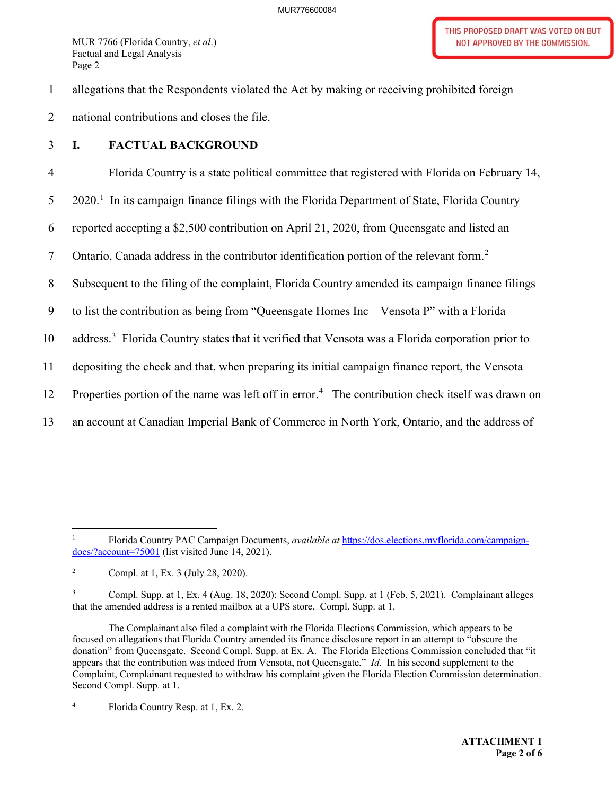1 allegations that the Respondents violated the Act by making or receiving prohibited foreign

2 national contributions and closes the file.

## 3 **I. FACTUAL BACKGROUND**

 $5$  2020.<sup>1</sup> In its campaign finance filings with the Florida Department of State, Florida Country 7 Ontario, Canada address in the contributor identification portion of the relevant form.<sup>2</sup> 8 Subsequent to the filing of the complaint, Florida Country amended its campaign finance filings 11 depositing the check and that, when preparing its initial campaign finance report, the Vensota 4 Florida Country is a state political committee that registered with Florida on February 14, 6 reported accepting a \$2,500 contribution on April 21, 2020, from Queensgate and listed an 9 to list the contribution as being from "Queensgate Homes Inc – Vensota P" with a Florida 10 address.<sup>3</sup> Florida Country states that it verified that Vensota was a Florida corporation prior to 12 Properties portion of the name was left off in error.<sup>4</sup> The contribution check itself was drawn on 13 an account at Canadian Imperial Bank of Commerce in North York, Ontario, and the address of

 $\mathbf{1}$ docs/?account=75001 (list visited June 14, 2021). 1 Florida Country PAC Campaign Documents, *available at* [https://dos.elections.myflorida.com/campaign-](https://dos.elections.myflorida.com/campaign)

 $\overline{2}$ 2 Compl. at 1, Ex. 3 (July 28, 2020).

 $\mathfrak{Z}$  that the amended address is a rented mailbox at a UPS store. Compl. Supp. at 1. 3 Compl. Supp. at 1, Ex. 4 (Aug. 18, 2020); Second Compl. Supp. at 1 (Feb. 5, 2021). Complainant alleges

 The Complainant also filed a complaint with the Florida Elections Commission, which appears to be focused on allegations that Florida Country amended its finance disclosure report in an attempt to "obscure the donation" from Queensgate. Second Compl. Supp. at Ex. A. The Florida Elections Commission concluded that "it appears that the contribution was indeed from Vensota, not Queensgate." *Id*. In his second supplement to the Complaint, Complainant requested to withdraw his complaint given the Florida Election Commission determination. Second Compl. Supp. at 1.

 $\overline{4}$ 4 Florida Country Resp. at 1, Ex. 2.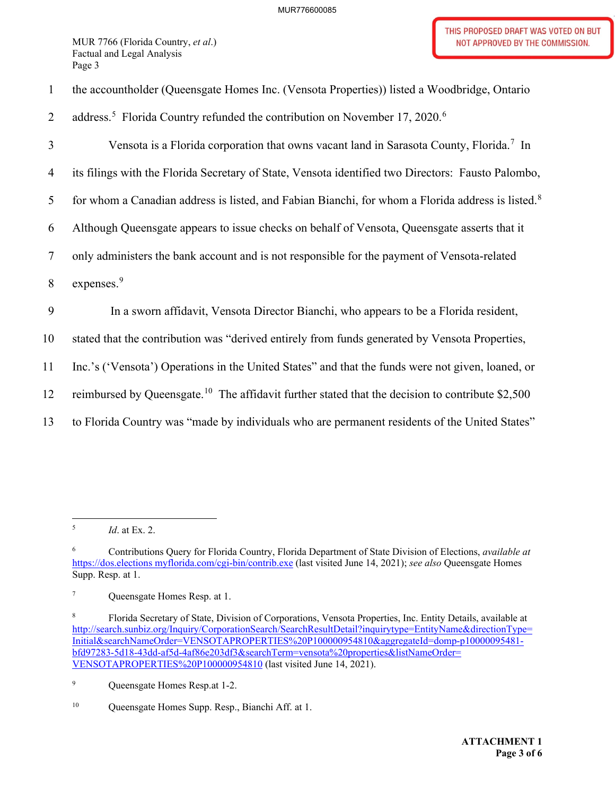1 the accountholder (Queensgate Homes Inc. (Vensota Properties)) listed a Woodbridge, Ontario

2 address.<sup>5</sup> Florida Country refunded the contribution on November 17, 2020.<sup>6</sup>

3 Vensota is a Florida corporation that owns vacant land in Sarasota County, Florida.<sup>7</sup> In

4 its filings with the Florida Secretary of State, Vensota identified two Directors: Fausto Palombo,

5 for whom a Canadian address is listed, and Fabian Bianchi, for whom a Florida address is listed.<sup>8</sup>

6 Although Queensgate appears to issue checks on behalf of Vensota, Queensgate asserts that it

7 only administers the bank account and is not responsible for the payment of Vensota-related

8 expenses.<sup>9</sup>

9 In a sworn affidavit, Vensota Director Bianchi, who appears to be a Florida resident,

10 stated that the contribution was "derived entirely from funds generated by Vensota Properties,

11 Inc.'s ('Vensota') Operations in the United States" and that the funds were not given, loaned, or

12 reimbursed by [Queensgate.](https://Queensgate.10)<sup>10</sup> The affidavit further stated that the decision to contribute \$2,500

13 to Florida Country was "made by individuals who are permanent residents of the United States"

 $\sqrt{5}$ <sup>5</sup>*Id*. at Ex. 2.

 6 Contributions Query for Florida Country, Florida Department of State Division of Elections, *available at*  <https://dos.elections>[myflorida.com/cgi-bin/contrib.exe](https://myflorida.com/cgi-bin/contrib.exe) (last visited June 14, 2021); *see also* Queensgate Homes Supp. Resp. at 1.

Queensgate Homes Resp. at 1.

<sup>8</sup>  VENSOTAPROPERTIES%20P100000954810 (last visited June 14, 2021). 8 Florida Secretary of State, Division of Corporations, Vensota Properties, Inc. Entity Details, available at [http://search.sunbiz.org/Inquiry/CorporationSearch/SearchResultDetail?inquirytype=EntityName&directionType=](http://search.sunbiz.org/Inquiry/CorporationSearch/SearchResultDetail?inquirytype=EntityName&directionType) Initial&searchNameOrder=VENSOTAPROPERTIES%20P100000954810&aggregateId=domp-p10000095481 bfd97283-5d18-43dd-af5d-4af86e203df3&searchTerm=vensota%20properties&listNameOrder=

 $\overline{9}$ Queensgate Homes Resp.at 1-2.

 $10\,$ Queensgate Homes Supp. Resp., Bianchi Aff. at 1.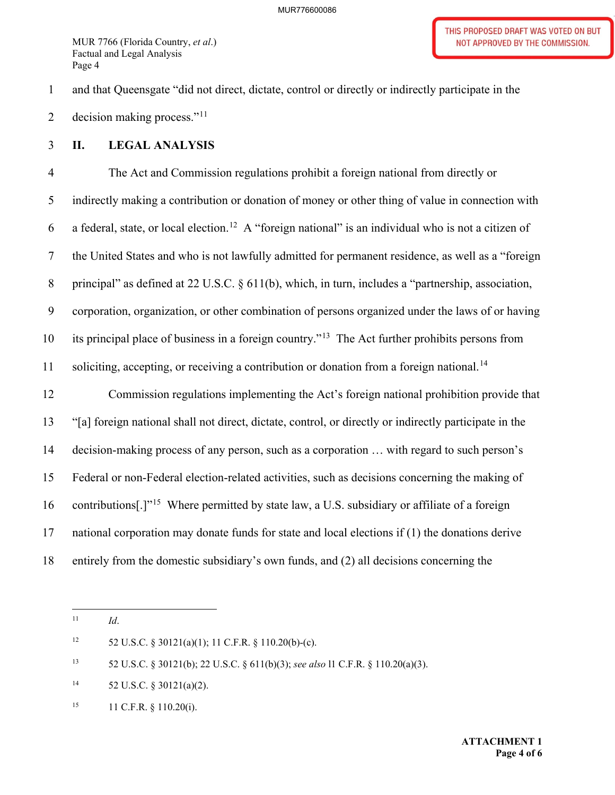1 and that Queensgate "did not direct, dictate, control or directly or indirectly participate in the

2 decision making process." $11$ 

## 3 **II. LEGAL ANALYSIS**

6 a federal, state, or local [election.](https://election.12)<sup>12</sup> A "foreign national" is an individual who is not a citizen of 10 its principal place of business in a foreign country."<sup>13</sup> The Act further prohibits persons from 11 soliciting, accepting, or receiving a contribution or donation from a foreign [national.](https://national.14)<sup>14</sup> 15 Federal or non-Federal election-related activities, such as decisions concerning the making of 4 The Act and Commission regulations prohibit a foreign national from directly or 5 indirectly making a contribution or donation of money or other thing of value in connection with 7 the United States and who is not lawfully admitted for permanent residence, as well as a "foreign 8 principal" as defined at 22 U.S.C. § 611(b), which, in turn, includes a "partnership, association, 9 corporation, organization, or other combination of persons organized under the laws of or having 12 Commission regulations implementing the Act's foreign national prohibition provide that 13 "[a] foreign national shall not direct, dictate, control, or directly or indirectly participate in the 14 decision-making process of any person, such as a corporation … with regard to such person's

16 contributions[.]"<sup>15</sup> Where permitted by state law, a U.S. subsidiary or affiliate of a foreign

17 national corporation may donate funds for state and local elections if (1) the donations derive

18 entirely from the domestic subsidiary's own funds, and (2) all decisions concerning the

 $12 \,$ 52 U.S.C. § 30121(a)(1); 11 C.F.R. § 110.20(b)-(c).

 $13$ 13 52 U.S.C. § 30121(b); 22 U.S.C. § 611(b)(3); *see also* l1 C.F.R. § 110.20(a)(3).

- $14\,$ 52 U.S.C. § 30121(a)(2).
- 15 11 C.F.R. § 110.20(i).

 $11$ <sup>11</sup>*Id*.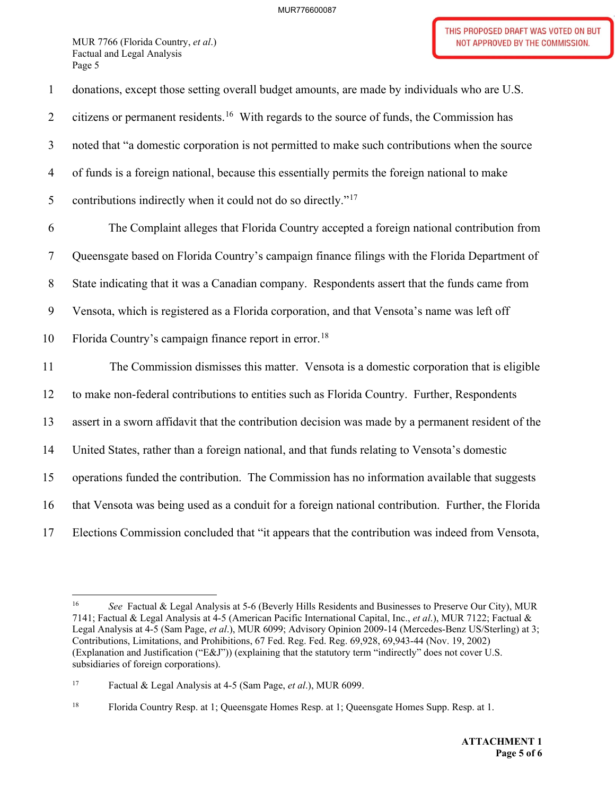5 contributions indirectly when it could not do so directly."<sup>17</sup> 10 Florida Country's campaign finance report in [error.](https://error.18)<sup>18</sup> 15 operations funded the contribution. The Commission has no information available that suggests 1 donations, except those setting overall budget amounts, are made by individuals who are U.S. 2 citizens or permanent [residents.](https://residents.16)<sup>16</sup> With regards to the source of funds, the Commission has 3 noted that "a domestic corporation is not permitted to make such contributions when the source 4 of funds is a foreign national, because this essentially permits the foreign national to make 6 The Complaint alleges that Florida Country accepted a foreign national contribution from 7 Queensgate based on Florida Country's campaign finance filings with the Florida Department of 8 State indicating that it was a Canadian company. Respondents assert that the funds came from 9 Vensota, which is registered as a Florida corporation, and that Vensota's name was left off 11 The Commission dismisses this matter. Vensota is a domestic corporation that is eligible 12 to make non-federal contributions to entities such as Florida Country. Further, Respondents 13 assert in a sworn affidavit that the contribution decision was made by a permanent resident of the 14 United States, rather than a foreign national, and that funds relating to Vensota's domestic 16 that Vensota was being used as a conduit for a foreign national contribution. Further, the Florida 17 Elections Commission concluded that "it appears that the contribution was indeed from Vensota,

<sup>16</sup>  7141; Factual & Legal Analysis at 4-5 (American Pacific International Capital, Inc., *et al*.), MUR 7122; Factual & Legal Analysis at 4-5 (Sam Page, *et al*.), MUR 6099; Advisory Opinion 2009-14 (Mercedes-Benz US/Sterling) at 3; Contributions, Limitations, and Prohibitions, 67 Fed. Reg. Fed. Reg. 69,928, 69,943-44 (Nov. 19, 2002) (Explanation and Justification ("E&J")) (explaining that the statutory term "indirectly" does not cover U.S. subsidiaries of foreign corporations). <sup>16</sup>*See* Factual & Legal Analysis at 5-6 (Beverly Hills Residents and Businesses to Preserve Our City), MUR

 $17\,$ 17 Factual & Legal Analysis at 4-5 (Sam Page, *et al*.), MUR 6099.

 $18\,$ 18 Florida Country Resp. at 1; Queensgate Homes Resp. at 1; Queensgate Homes Supp. Resp. at 1.